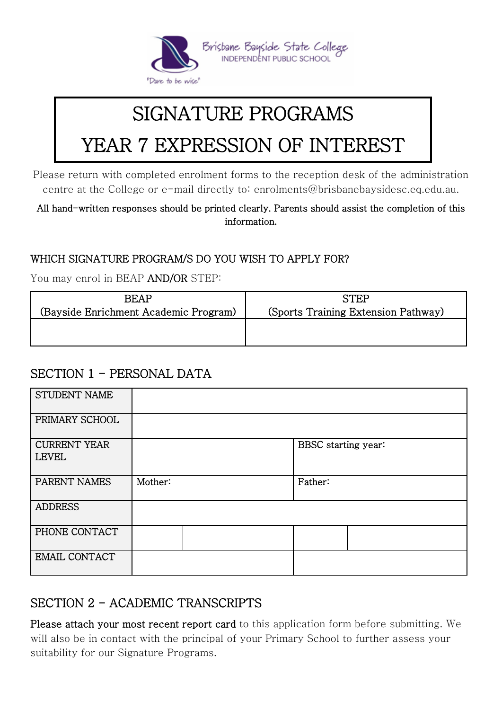

# SIGNATURE PROGRAMS

# YEAR 7 EXPRESSION OF INTEREST

Please return with completed enrolment forms to the reception desk of the administration centre at the College or e-mail directly to: enrolments@brisbanebaysidesc.eq.edu.au.

All hand-written responses should be printed clearly. Parents should assist the completion of this information.

#### WHICH SIGNATURE PROGRAM/S DO YOU WISH TO APPLY FOR?

You may enrol in BEAP AND/OR STEP:

| <b>BEAP</b>                           | <b>STEP</b>                         |
|---------------------------------------|-------------------------------------|
| (Bayside Enrichment Academic Program) | (Sports Training Extension Pathway) |
|                                       |                                     |
|                                       |                                     |

#### SECTION 1 - PERSONAL DATA

| STUDENT NAME                        |         |                     |
|-------------------------------------|---------|---------------------|
| PRIMARY SCHOOL                      |         |                     |
| <b>CURRENT YEAR</b><br><b>LEVEL</b> |         | BBSC starting year: |
| PARENT NAMES                        | Mother: | Father:             |
| <b>ADDRESS</b>                      |         |                     |
| PHONE CONTACT                       |         |                     |
| <b>EMAIL CONTACT</b>                |         |                     |

### SECTION 2 - ACADEMIC TRANSCRIPTS

Please attach your most recent report card to this application form before submitting. We will also be in contact with the principal of your Primary School to further assess your suitability for our Signature Programs.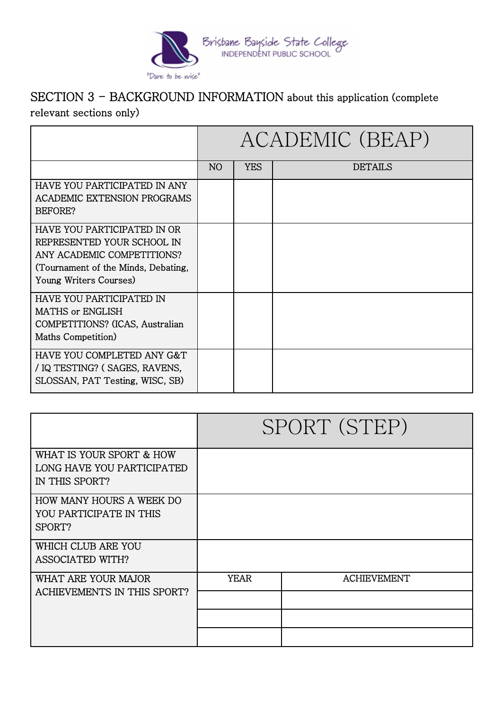

#### SECTION 3 - BACKGROUND INFORMATION about this application (complete relevant sections only)

|                                                                                                                                                          | ACADEMIC (BEAP) |            |         |  |
|----------------------------------------------------------------------------------------------------------------------------------------------------------|-----------------|------------|---------|--|
|                                                                                                                                                          | N <sub>O</sub>  | <b>YES</b> | DETAILS |  |
| HAVE YOU PARTICIPATED IN ANY<br><b>ACADEMIC EXTENSION PROGRAMS</b><br>BEFORE?                                                                            |                 |            |         |  |
| HAVE YOU PARTICIPATED IN OR<br>REPRESENTED YOUR SCHOOL IN<br>ANY ACADEMIC COMPETITIONS?<br>(Tournament of the Minds, Debating,<br>Young Writers Courses) |                 |            |         |  |
| HAVE YOU PARTICIPATED IN<br><b>MATHS or ENGLISH</b><br>COMPETITIONS? (ICAS, Australian<br>Maths Competition)                                             |                 |            |         |  |
| HAVE YOU COMPLETED ANY G&T<br>/ IQ TESTING? (SAGES, RAVENS,<br>SLOSSAN, PAT Testing, WISC, SB)                                                           |                 |            |         |  |

|                                                                          | SPORT (STEP) |                    |  |
|--------------------------------------------------------------------------|--------------|--------------------|--|
| WHAT IS YOUR SPORT & HOW<br>LONG HAVE YOU PARTICIPATED<br>IN THIS SPORT? |              |                    |  |
| HOW MANY HOURS A WEEK DO<br>YOU PARTICIPATE IN THIS<br>SPORT?            |              |                    |  |
| WHICH CLUB ARE YOU<br><b>ASSOCIATED WITH?</b>                            |              |                    |  |
| WHAT ARE YOUR MAJOR<br>ACHIEVEMENTS IN THIS SPORT?                       | <b>YEAR</b>  | <b>ACHIEVEMENT</b> |  |
|                                                                          |              |                    |  |